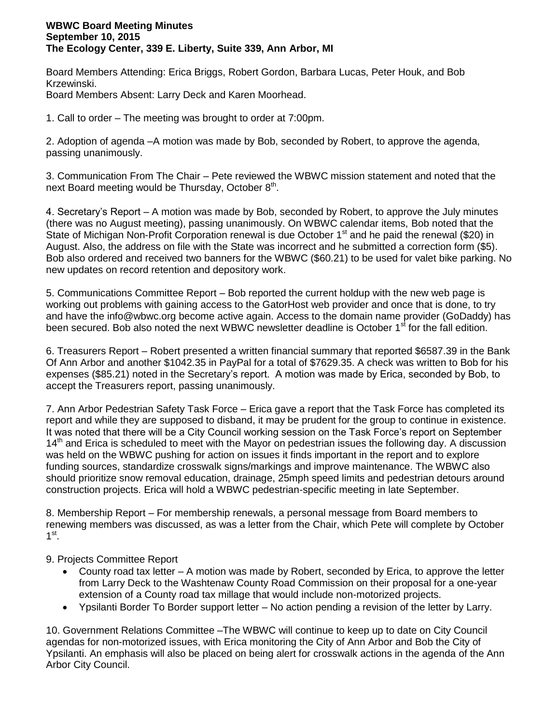## **WBWC Board Meeting Minutes September 10, 2015 The Ecology Center, 339 E. Liberty, Suite 339, Ann Arbor, MI**

Board Members Attending: Erica Briggs, Robert Gordon, Barbara Lucas, Peter Houk, and Bob Krzewinski.

Board Members Absent: Larry Deck and Karen Moorhead.

1. Call to order – The meeting was brought to order at 7:00pm.

2. Adoption of agenda –A motion was made by Bob, seconded by Robert, to approve the agenda, passing unanimously.

3. Communication From The Chair – Pete reviewed the WBWC mission statement and noted that the next Board meeting would be Thursday, October  $8<sup>th</sup>$ .

4. Secretary's Report – A motion was made by Bob, seconded by Robert, to approve the July minutes (there was no August meeting), passing unanimously. On WBWC calendar items, Bob noted that the State of Michigan Non-Profit Corporation renewal is due October  $1<sup>st</sup>$  and he paid the renewal (\$20) in August. Also, the address on file with the State was incorrect and he submitted a correction form (\$5). Bob also ordered and received two banners for the WBWC (\$60.21) to be used for valet bike parking. No new updates on record retention and depository work.

5. Communications Committee Report – Bob reported the current holdup with the new web page is working out problems with gaining access to the GatorHost web provider and once that is done, to try and have the info@wbwc.org become active again. Access to the domain name provider (GoDaddy) has been secured. Bob also noted the next WBWC newsletter deadline is October 1<sup>st</sup> for the fall edition.

6. Treasurers Report – Robert presented a written financial summary that reported \$6587.39 in the Bank Of Ann Arbor and another \$1042.35 in PayPal for a total of \$7629.35. A check was written to Bob for his expenses (\$85.21) noted in the Secretary's report. A motion was made by Erica, seconded by Bob, to accept the Treasurers report, passing unanimously.

7. Ann Arbor Pedestrian Safety Task Force – Erica gave a report that the Task Force has completed its report and while they are supposed to disband, it may be prudent for the group to continue in existence. It was noted that there will be a City Council working session on the Task Force's report on September 14<sup>th</sup> and Erica is scheduled to meet with the Mayor on pedestrian issues the following day. A discussion was held on the WBWC pushing for action on issues it finds important in the report and to explore funding sources, standardize crosswalk signs/markings and improve maintenance. The WBWC also should prioritize snow removal education, drainage, 25mph speed limits and pedestrian detours around construction projects. Erica will hold a WBWC pedestrian-specific meeting in late September.

8. Membership Report – For membership renewals, a personal message from Board members to renewing members was discussed, as was a letter from the Chair, which Pete will complete by October  $1^{\text{st}}$ .

9. Projects Committee Report

- County road tax letter A motion was made by Robert, seconded by Erica, to approve the letter from Larry Deck to the Washtenaw County Road Commission on their proposal for a one-year extension of a County road tax millage that would include non-motorized projects.
- Ypsilanti Border To Border support letter No action pending a revision of the letter by Larry.

10. Government Relations Committee –The WBWC will continue to keep up to date on City Council agendas for non-motorized issues, with Erica monitoring the City of Ann Arbor and Bob the City of Ypsilanti. An emphasis will also be placed on being alert for crosswalk actions in the agenda of the Ann Arbor City Council.